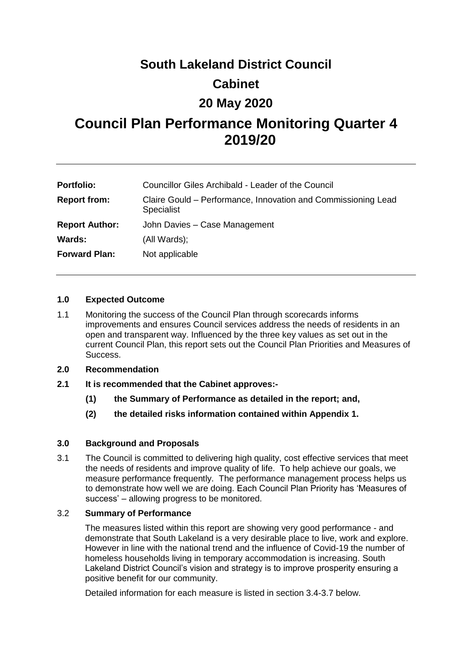# **South Lakeland District Council Cabinet 20 May 2020**

# **Council Plan Performance Monitoring Quarter 4 2019/20**

| <b>Portfolio:</b>     | Councillor Giles Archibald - Leader of the Council                          |
|-----------------------|-----------------------------------------------------------------------------|
| <b>Report from:</b>   | Claire Gould – Performance, Innovation and Commissioning Lead<br>Specialist |
| <b>Report Author:</b> | John Davies - Case Management                                               |
| <b>Wards:</b>         | (All Wards);                                                                |
| <b>Forward Plan:</b>  | Not applicable                                                              |

#### **1.0 Expected Outcome**

- 1.1 Monitoring the success of the Council Plan through scorecards informs improvements and ensures Council services address the needs of residents in an open and transparent way. Influenced by the three key values as set out in the current Council Plan, this report sets out the Council Plan Priorities and Measures of **Success**
- **2.0 Recommendation**
- **2.1 It is recommended that the Cabinet approves:-**
	- **(1) the Summary of Performance as detailed in the report; and,**
	- **(2) the detailed risks information contained within Appendix 1.**

#### **3.0 Background and Proposals**

3.1 The Council is committed to delivering high quality, cost effective services that meet the needs of residents and improve quality of life. To help achieve our goals, we measure performance frequently. The performance management process helps us to demonstrate how well we are doing. Each Council Plan Priority has 'Measures of success' – allowing progress to be monitored.

#### 3.2 **Summary of Performance**

The measures listed within this report are showing very good performance - and demonstrate that South Lakeland is a very desirable place to live, work and explore. However in line with the national trend and the influence of Covid-19 the number of homeless households living in temporary accommodation is increasing. South Lakeland District Council's vision and strategy is to improve prosperity ensuring a positive benefit for our community.

Detailed information for each measure is listed in section 3.4-3.7 below.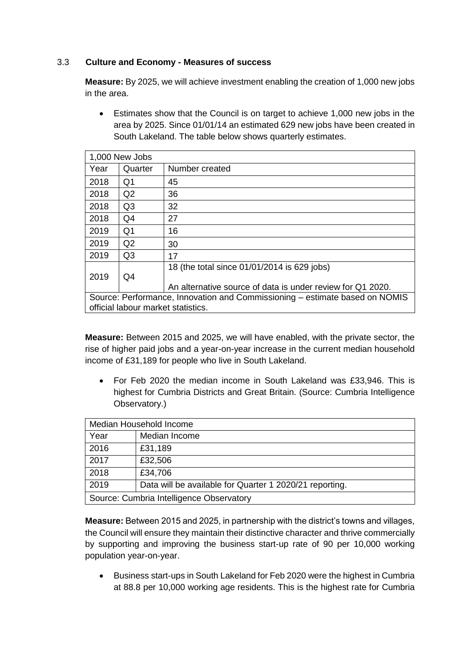## 3.3 **Culture and Economy - Measures of success**

**Measure:** By 2025, we will achieve investment enabling the creation of 1,000 new jobs in the area.

 Estimates show that the Council is on target to achieve 1,000 new jobs in the area by 2025. Since 01/01/14 an estimated 629 new jobs have been created in South Lakeland. The table below shows quarterly estimates.

|                                    | 1,000 New Jobs                                                              |                                                            |  |
|------------------------------------|-----------------------------------------------------------------------------|------------------------------------------------------------|--|
| Year                               | Quarter                                                                     | Number created                                             |  |
| 2018                               | Q1                                                                          | 45                                                         |  |
| 2018                               | Q2                                                                          | 36                                                         |  |
| 2018                               | Q <sub>3</sub>                                                              | 32                                                         |  |
| 2018                               | Q4                                                                          | 27                                                         |  |
| 2019                               | Q1                                                                          | 16                                                         |  |
| 2019                               | Q <sub>2</sub>                                                              | 30                                                         |  |
| 2019                               | Q <sub>3</sub>                                                              | 17                                                         |  |
|                                    |                                                                             | 18 (the total since 01/01/2014 is 629 jobs)                |  |
| 2019                               | Q4                                                                          |                                                            |  |
|                                    |                                                                             | An alternative source of data is under review for Q1 2020. |  |
|                                    | Source: Performance, Innovation and Commissioning - estimate based on NOMIS |                                                            |  |
| official labour market statistics. |                                                                             |                                                            |  |

**Measure:** Between 2015 and 2025, we will have enabled, with the private sector, the rise of higher paid jobs and a year-on-year increase in the current median household income of £31,189 for people who live in South Lakeland.

 For Feb 2020 the median income in South Lakeland was £33,946. This is highest for Cumbria Districts and Great Britain. (Source: Cumbria Intelligence Observatory.)

| Median Household Income                  |                                                         |  |  |
|------------------------------------------|---------------------------------------------------------|--|--|
| Year                                     | Median Income                                           |  |  |
| 2016                                     | £31,189                                                 |  |  |
| 2017                                     | £32,506                                                 |  |  |
| 2018                                     | £34,706                                                 |  |  |
| 2019                                     | Data will be available for Quarter 1 2020/21 reporting. |  |  |
| Source: Cumbria Intelligence Observatory |                                                         |  |  |

**Measure:** Between 2015 and 2025, in partnership with the district's towns and villages, the Council will ensure they maintain their distinctive character and thrive commercially by supporting and improving the business start-up rate of 90 per 10,000 working population year-on-year.

 Business start-ups in South Lakeland for Feb 2020 were the highest in Cumbria at 88.8 per 10,000 working age residents. This is the highest rate for Cumbria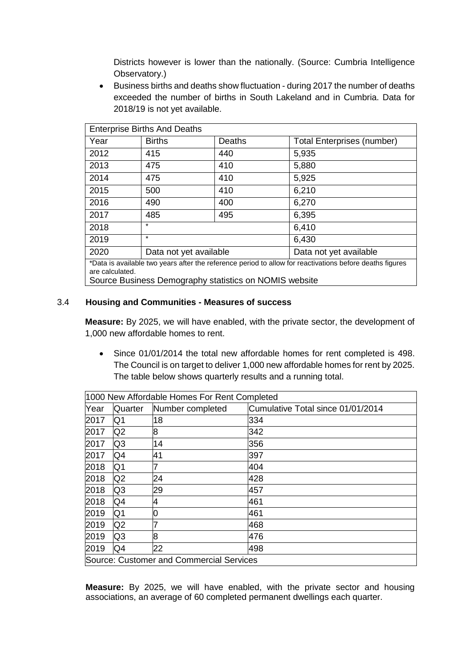Districts however is lower than the nationally. (Source: Cumbria Intelligence Observatory.)

 Business births and deaths show fluctuation - during 2017 the number of deaths exceeded the number of births in South Lakeland and in Cumbria. Data for 2018/19 is not yet available.

| <b>Enterprise Births And Deaths</b> |                        |                                                       |                                                                                                          |  |
|-------------------------------------|------------------------|-------------------------------------------------------|----------------------------------------------------------------------------------------------------------|--|
|                                     |                        |                                                       |                                                                                                          |  |
| Year                                |                        | <b>Births</b><br>Deaths<br>Total Enterprises (number) |                                                                                                          |  |
| 2012                                | 5,935<br>415<br>440    |                                                       |                                                                                                          |  |
| 2013                                | 5,880<br>475<br>410    |                                                       |                                                                                                          |  |
| 2014                                | 475                    | 410                                                   | 5,925                                                                                                    |  |
| 2015                                | 500                    | 410                                                   | 6,210                                                                                                    |  |
| 2016                                | 490                    | 400                                                   | 6,270                                                                                                    |  |
| 2017                                | 485                    | 495                                                   | 6,395                                                                                                    |  |
| 2018                                | $\star$<br>6,410       |                                                       |                                                                                                          |  |
| 2019                                | $\star$<br>6,430       |                                                       |                                                                                                          |  |
| 2020                                | Data not yet available |                                                       | Data not yet available                                                                                   |  |
| are calculated.                     |                        |                                                       | *Data is available two years after the reference period to allow for reactivations before deaths figures |  |

Source Business Demography statistics on NOMIS website

#### 3.4 **Housing and Communities - Measures of success**

**Measure:** By 2025, we will have enabled, with the private sector, the development of 1,000 new affordable homes to rent.

 Since 01/01/2014 the total new affordable homes for rent completed is 498. The Council is on target to deliver 1,000 new affordable homes for rent by 2025. The table below shows quarterly results and a running total.

| 1000 New Affordable Homes For Rent Completed |                |                  |                                   |  |
|----------------------------------------------|----------------|------------------|-----------------------------------|--|
| Year                                         | Quarter        | Number completed | Cumulative Total since 01/01/2014 |  |
| 2017                                         | Q1             | 18               | 334                               |  |
| 2017                                         | Q2             | 8                | 342                               |  |
| 2017                                         | Q3             | 14               | 356                               |  |
| 2017                                         | Q4             | 41               | 397                               |  |
| 2018                                         | Q1             | 7                | 404                               |  |
| 2018                                         | Q <sub>2</sub> | 24               | 428                               |  |
| 2018                                         | Q3             | 29               | 457                               |  |
| 2018                                         | Q4             | 4                | 461                               |  |
| 2019                                         | Q1             | 0                | 461                               |  |
| 2019                                         | Q <sub>2</sub> |                  | 468                               |  |
| 2019                                         | Q3             | 8                | 476                               |  |
| 2019                                         | Q4             | 22               | 498                               |  |
| Source: Customer and Commercial Services     |                |                  |                                   |  |

**Measure:** By 2025, we will have enabled, with the private sector and housing associations, an average of 60 completed permanent dwellings each quarter.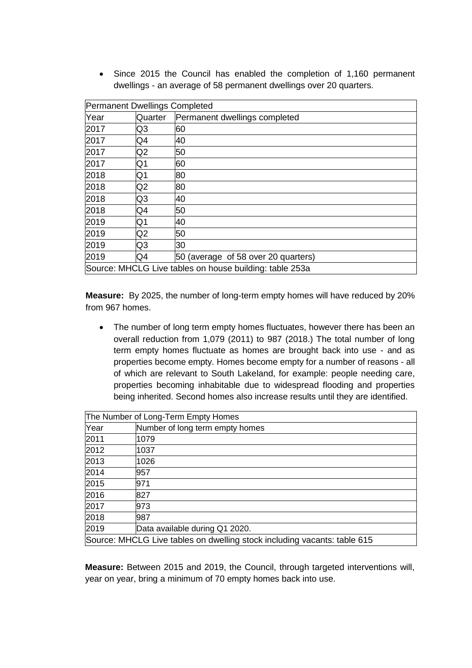Since 2015 the Council has enabled the completion of 1,160 permanent dwellings - an average of 58 permanent dwellings over 20 quarters.

| Permanent Dwellings Completed                           |         |                                     |  |
|---------------------------------------------------------|---------|-------------------------------------|--|
| Year                                                    | Quarter | Permanent dwellings completed       |  |
| 2017                                                    | Q3      | 60                                  |  |
| 2017                                                    | Q4      | 40                                  |  |
| 2017                                                    | Q2      | 50                                  |  |
| 2017                                                    | Q1      | 60                                  |  |
| 2018                                                    | Q1      | 80                                  |  |
| 2018                                                    | Q2      | 80                                  |  |
| 2018                                                    | Q3      | 40                                  |  |
| 2018                                                    | Q4      | 50                                  |  |
| 2019                                                    | Q1      | 40                                  |  |
| 2019                                                    | Q2      | 50                                  |  |
| 2019                                                    | Q3      | 30                                  |  |
| 2019                                                    | Q4      | 50 (average of 58 over 20 quarters) |  |
| Source: MHCLG Live tables on house building: table 253a |         |                                     |  |

**Measure:** By 2025, the number of long-term empty homes will have reduced by 20% from 967 homes.

• The number of long term empty homes fluctuates, however there has been an overall reduction from 1,079 (2011) to 987 (2018.) The total number of long term empty homes fluctuate as homes are brought back into use - and as properties become empty. Homes become empty for a number of reasons - all of which are relevant to South Lakeland, for example: people needing care, properties becoming inhabitable due to widespread flooding and properties being inherited. Second homes also increase results until they are identified.

| The Number of Long-Term Empty Homes                                      |                                 |  |
|--------------------------------------------------------------------------|---------------------------------|--|
| Year                                                                     | Number of long term empty homes |  |
| 2011                                                                     | 1079                            |  |
| 2012                                                                     | 1037                            |  |
| 2013                                                                     | 1026                            |  |
| 2014                                                                     | 957                             |  |
| 2015                                                                     | 971                             |  |
| 2016                                                                     | 827                             |  |
| 2017                                                                     | 973                             |  |
| 2018                                                                     | 987                             |  |
| 2019                                                                     | Data available during Q1 2020.  |  |
| Source: MHCLG Live tables on dwelling stock including vacants: table 615 |                                 |  |

**Measure:** Between 2015 and 2019, the Council, through targeted interventions will, year on year, bring a minimum of 70 empty homes back into use.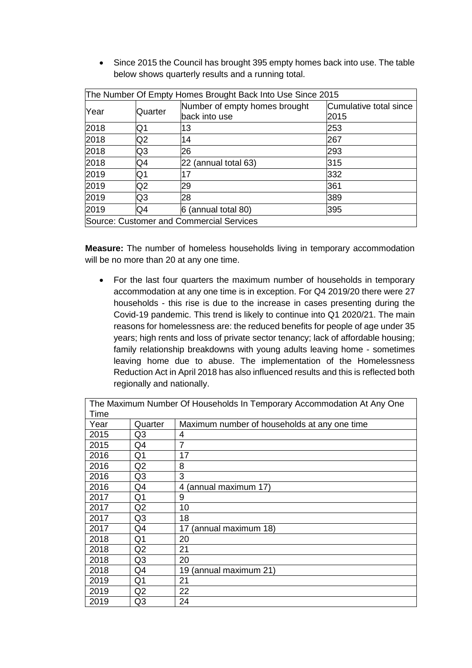• Since 2015 the Council has brought 395 empty homes back into use. The table below shows quarterly results and a running total.

| The Number Of Empty Homes Brought Back Into Use Since 2015 |         |                                                |                                |
|------------------------------------------------------------|---------|------------------------------------------------|--------------------------------|
| Year                                                       | Quarter | Number of empty homes brought<br>back into use | Cumulative total since<br>2015 |
| 2018                                                       | Q1      | 13                                             | 253                            |
| 2018                                                       | Q2      | 14                                             | 267                            |
| 2018                                                       | Q3      | 26                                             | 293                            |
| 2018                                                       | Q4      | 22 (annual total 63)                           | 315                            |
| 2019                                                       | Q1      | 17                                             | 332                            |
| 2019                                                       | Q2      | 29                                             | 361                            |
| 2019                                                       | Q3      | 28                                             | 389                            |
| 2019                                                       | Q4      | 6 (annual total 80)                            | 395                            |
|                                                            |         | Source: Customer and Commercial Services       |                                |

**Measure:** The number of homeless households living in temporary accommodation will be no more than 20 at any one time.

 For the last four quarters the maximum number of households in temporary accommodation at any one time is in exception. For Q4 2019/20 there were 27 households - this rise is due to the increase in cases presenting during the Covid-19 pandemic. This trend is likely to continue into Q1 2020/21. The main reasons for homelessness are: the reduced benefits for people of age under 35 years; high rents and loss of private sector tenancy; lack of affordable housing; family relationship breakdowns with young adults leaving home - sometimes leaving home due to abuse. The implementation of the Homelessness Reduction Act in April 2018 has also influenced results and this is reflected both regionally and nationally.

|      |                | The Maximum Number Of Households In Temporary Accommodation At Any One |
|------|----------------|------------------------------------------------------------------------|
| Time |                |                                                                        |
| Year | Quarter        | Maximum number of households at any one time                           |
| 2015 | Q3             | 4                                                                      |
| 2015 | Q4             | 7                                                                      |
| 2016 | Q1             | 17                                                                     |
| 2016 | Q2             | 8                                                                      |
| 2016 | Q3             | 3                                                                      |
| 2016 | Q4             | (annual maximum 17)<br>4                                               |
| 2017 | Q1             | 9                                                                      |
| 2017 | Q2             | 10                                                                     |
| 2017 | Q3             | 18                                                                     |
| 2017 | Q4             | 17<br>(annual maximum 18)                                              |
| 2018 | Q <sub>1</sub> | 20                                                                     |
| 2018 | Q2             | 21                                                                     |
| 2018 | Q3             | 20                                                                     |
| 2018 | Q4             | 19<br>(annual maximum 21)                                              |
| 2019 | Q1             | 21                                                                     |
| 2019 | Q <sub>2</sub> | 22                                                                     |
| 2019 | Q3             | 24                                                                     |

The Maximum Number Of Households In Temporary Accommodation At Any One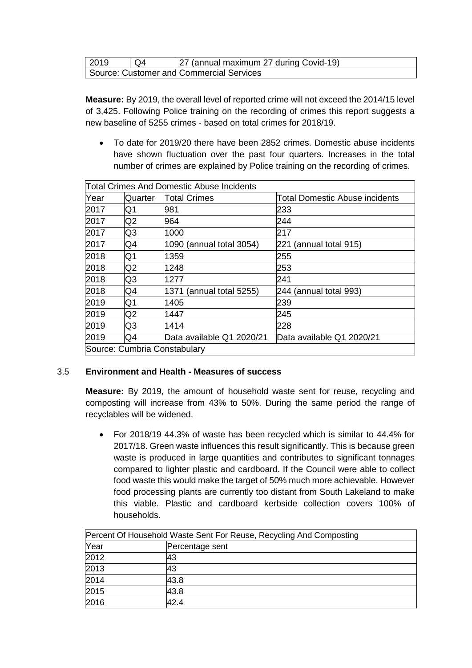| 2019                                     | Q4 |  | 27 (annual maximum 27 during Covid-19) |
|------------------------------------------|----|--|----------------------------------------|
| Source: Customer and Commercial Services |    |  |                                        |

**Measure:** By 2019, the overall level of reported crime will not exceed the 2014/15 level of 3,425. Following Police training on the recording of crimes this report suggests a new baseline of 5255 crimes - based on total crimes for 2018/19.

 To date for 2019/20 there have been 2852 crimes. Domestic abuse incidents have shown fluctuation over the past four quarters. Increases in the total number of crimes are explained by Police training on the recording of crimes.

| Total Crimes And Domestic Abuse Incidents |                |                                                       |                           |
|-------------------------------------------|----------------|-------------------------------------------------------|---------------------------|
| Year                                      | Quarter        | <b>Total Crimes</b><br>Total Domestic Abuse incidents |                           |
| 2017                                      | Q1             | 981                                                   | 233                       |
| 2017                                      | Q <sub>2</sub> | 964                                                   | 244                       |
| 2017                                      | Q3             | 1000                                                  | 217                       |
| 2017                                      | Q4             | 1090 (annual total 3054)                              | 221 (annual total 915)    |
| 2018                                      | Q1             | 1359                                                  | 255                       |
| 2018                                      | Q2             | 1248                                                  | 253                       |
| 2018                                      | Q3             | 1277                                                  | 241                       |
| 2018                                      | Q4             | 1371 (annual total 5255)                              | 244 (annual total 993)    |
| 2019                                      | Q1             | 1405                                                  | 239                       |
| 2019                                      | Q2             | 1447                                                  | 245                       |
| 2019                                      | Q3             | 1414                                                  | 228                       |
| 2019                                      | Q4             | Data available Q1 2020/21                             | Data available Q1 2020/21 |
| Source: Cumbria Constabulary              |                |                                                       |                           |

#### 3.5 **Environment and Health - Measures of success**

**Measure:** By 2019, the amount of household waste sent for reuse, recycling and composting will increase from 43% to 50%. During the same period the range of recyclables will be widened.

 For 2018/19 44.3% of waste has been recycled which is similar to 44.4% for 2017/18. Green waste influences this result significantly. This is because green waste is produced in large quantities and contributes to significant tonnages compared to lighter plastic and cardboard. If the Council were able to collect food waste this would make the target of 50% much more achievable. However food processing plants are currently too distant from South Lakeland to make this viable. Plastic and cardboard kerbside collection covers 100% of households.

| Percent Of Household Waste Sent For Reuse, Recycling And Composting |                 |  |  |
|---------------------------------------------------------------------|-----------------|--|--|
| Year                                                                | Percentage sent |  |  |
| 2012                                                                | 43              |  |  |
| 2013                                                                | 43              |  |  |
| 2014                                                                | 43.8            |  |  |
| 2015                                                                | 43.8            |  |  |
| 2016                                                                | 42.4            |  |  |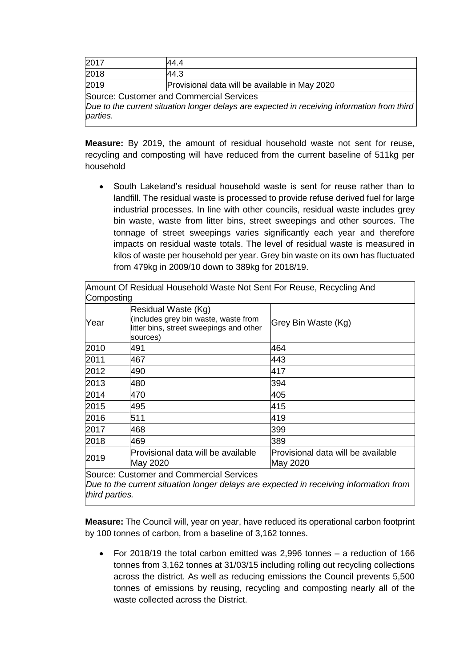| 2017                                                                                                    | 44.4                                           |  |
|---------------------------------------------------------------------------------------------------------|------------------------------------------------|--|
| 2018                                                                                                    | 44.3                                           |  |
| 2019                                                                                                    | Provisional data will be available in May 2020 |  |
| Source: Customer and Commercial Services                                                                |                                                |  |
| Due to the current situation longer delays are expected in receiving information from third<br>parties. |                                                |  |

**Measure:** By 2019, the amount of residual household waste not sent for reuse, recycling and composting will have reduced from the current baseline of 511kg per household

 South Lakeland's residual household waste is sent for reuse rather than to landfill. The residual waste is processed to provide refuse derived fuel for large industrial processes. In line with other councils, residual waste includes grey bin waste, waste from litter bins, street sweepings and other sources. The tonnage of street sweepings varies significantly each year and therefore impacts on residual waste totals. The level of residual waste is measured in kilos of waste per household per year. Grey bin waste on its own has fluctuated from 479kg in 2009/10 down to 389kg for 2018/19.

|            | Amount Of Residual Household Waste Not Sent For Reuse, Recycling And                                               |                                                |
|------------|--------------------------------------------------------------------------------------------------------------------|------------------------------------------------|
| Composting |                                                                                                                    |                                                |
| Year       | Residual Waste (Kg)<br>(includes grey bin waste, waste from<br>litter bins, street sweepings and other<br>sources) | Grey Bin Waste (Kg)                            |
| 2010       | 491                                                                                                                | 464                                            |
| 2011       | 467                                                                                                                | 443                                            |
| 2012       | 490                                                                                                                | 417                                            |
| 2013       | 480                                                                                                                | 394                                            |
| 2014       | 470                                                                                                                | 405                                            |
| 2015       | 495                                                                                                                | 415                                            |
| 2016       | 511                                                                                                                | 419                                            |
| 2017       | 468                                                                                                                | 399                                            |
| 2018       | 469                                                                                                                | 389                                            |
| 2019       | Provisional data will be available<br>May 2020                                                                     | Provisional data will be available<br>May 2020 |
|            | Source: Customer and Commercial Services                                                                           |                                                |

*Due to the current situation longer delays are expected in receiving information from third parties.*

**Measure:** The Council will, year on year, have reduced its operational carbon footprint by 100 tonnes of carbon, from a baseline of 3,162 tonnes.

 For 2018/19 the total carbon emitted was 2,996 tonnes – a reduction of 166 tonnes from 3,162 tonnes at 31/03/15 including rolling out recycling collections across the district. As well as reducing emissions the Council prevents 5,500 tonnes of emissions by reusing, recycling and composting nearly all of the waste collected across the District.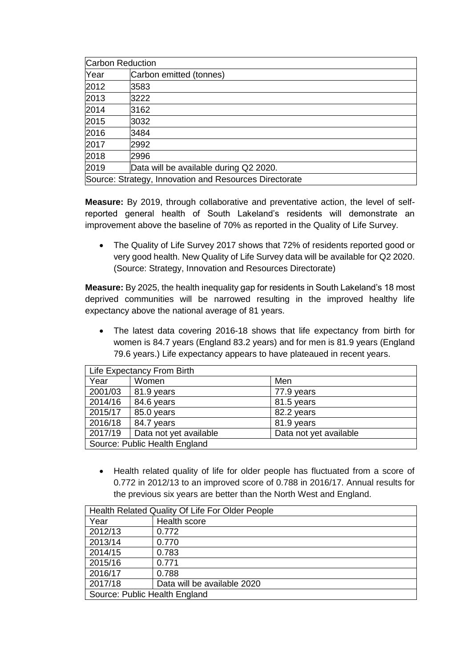| Carbon Reduction                                       |                                        |
|--------------------------------------------------------|----------------------------------------|
| Year                                                   | Carbon emitted (tonnes)                |
| 2012                                                   | 3583                                   |
| 2013                                                   | 3222                                   |
| 2014                                                   | 3162                                   |
| 2015                                                   | 3032                                   |
| 2016                                                   | 3484                                   |
| 2017                                                   | 2992                                   |
| 2018                                                   | 2996                                   |
| 2019                                                   | Data will be available during Q2 2020. |
| Source: Strategy, Innovation and Resources Directorate |                                        |

**Measure:** By 2019, through collaborative and preventative action, the level of selfreported general health of South Lakeland's residents will demonstrate an improvement above the baseline of 70% as reported in the Quality of Life Survey.

• The Quality of Life Survey 2017 shows that 72% of residents reported good or very good health. New Quality of Life Survey data will be available for Q2 2020. (Source: Strategy, Innovation and Resources Directorate)

**Measure:** By 2025, the health inequality gap for residents in South Lakeland's 18 most deprived communities will be narrowed resulting in the improved healthy life expectancy above the national average of 81 years.

• The latest data covering 2016-18 shows that life expectancy from birth for women is 84.7 years (England 83.2 years) and for men is 81.9 years (England 79.6 years.) Life expectancy appears to have plateaued in recent years.

| Life Expectancy From Birth    |                        |                        |
|-------------------------------|------------------------|------------------------|
| Year                          | Women                  | Men                    |
| 2001/03                       | 81.9 years             | 77.9 years             |
| 2014/16                       | 84.6 years             | 81.5 years             |
| 2015/17                       | 85.0 years             | 82.2 years             |
| 2016/18                       | 84.7 years             | 81.9 years             |
| 2017/19                       | Data not yet available | Data not yet available |
| Source: Public Health England |                        |                        |

• Health related quality of life for older people has fluctuated from a score of 0.772 in 2012/13 to an improved score of 0.788 in 2016/17. Annual results for the previous six years are better than the North West and England.

| Health Related Quality Of Life For Older People |                             |  |
|-------------------------------------------------|-----------------------------|--|
| Year                                            | Health score                |  |
| 2012/13                                         | 0.772                       |  |
| 2013/14                                         | 0.770                       |  |
| 2014/15                                         | 0.783                       |  |
| 2015/16                                         | 0.771                       |  |
| 2016/17                                         | 0.788                       |  |
| 2017/18                                         | Data will be available 2020 |  |
| Source: Public Health England                   |                             |  |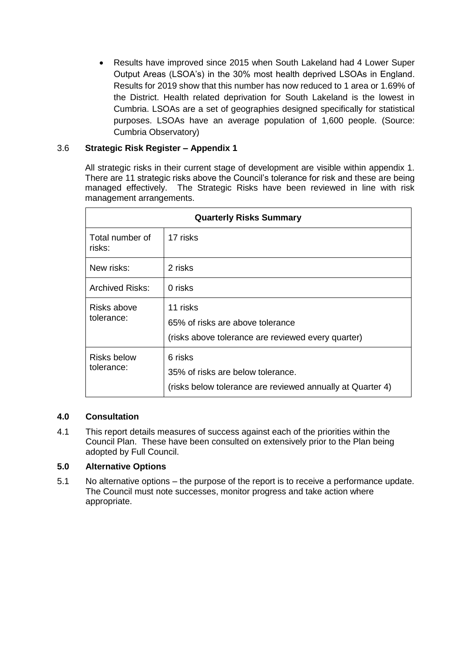Results have improved since 2015 when South Lakeland had 4 Lower Super Output Areas (LSOA's) in the 30% most health deprived LSOAs in England. Results for 2019 show that this number has now reduced to 1 area or 1.69% of the District. Health related deprivation for South Lakeland is the lowest in Cumbria. LSOAs are a set of geographies designed specifically for statistical purposes. LSOAs have an average population of 1,600 people. (Source: Cumbria Observatory)

# 3.6 **Strategic Risk Register – Appendix 1**

All strategic risks in their current stage of development are visible within appendix 1. There are 11 strategic risks above the Council's tolerance for risk and these are being managed effectively. The Strategic Risks have been reviewed in line with risk management arrangements.

| <b>Quarterly Risks Summary</b>   |                                                                                                            |  |
|----------------------------------|------------------------------------------------------------------------------------------------------------|--|
| Total number of<br>risks:        | 17 risks                                                                                                   |  |
| New risks:                       | 2 risks                                                                                                    |  |
| <b>Archived Risks:</b>           | 0 risks                                                                                                    |  |
| Risks above<br>tolerance:        | 11 risks<br>65% of risks are above tolerance<br>(risks above tolerance are reviewed every quarter)         |  |
| <b>Risks below</b><br>tolerance: | 6 risks<br>35% of risks are below tolerance.<br>(risks below tolerance are reviewed annually at Quarter 4) |  |

## **4.0 Consultation**

4.1 This report details measures of success against each of the priorities within the Council Plan. These have been consulted on extensively prior to the Plan being adopted by Full Council.

## **5.0 Alternative Options**

5.1 No alternative options – the purpose of the report is to receive a performance update. The Council must note successes, monitor progress and take action where appropriate.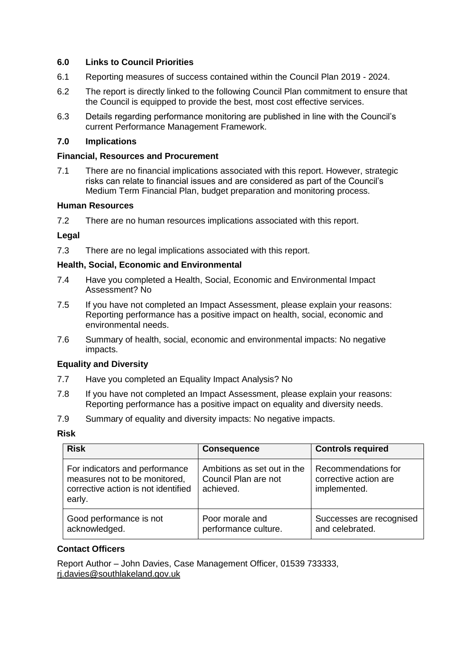#### **6.0 Links to Council Priorities**

- 6.1 Reporting measures of success contained within the Council Plan 2019 2024.
- 6.2 The report is directly linked to the following Council Plan commitment to ensure that the Council is equipped to provide the best, most cost effective services.
- 6.3 Details regarding performance monitoring are published in line with the Council's current Performance Management Framework.

#### **7.0 Implications**

#### **Financial, Resources and Procurement**

7.1 There are no financial implications associated with this report. However, strategic risks can relate to financial issues and are considered as part of the Council's Medium Term Financial Plan, budget preparation and monitoring process.

#### **Human Resources**

7.2 There are no human resources implications associated with this report.

#### **Legal**

7.3 There are no legal implications associated with this report.

#### **Health, Social, Economic and Environmental**

- 7.4 Have you completed a Health, Social, Economic and Environmental Impact Assessment? No
- 7.5 If you have not completed an Impact Assessment, please explain your reasons: Reporting performance has a positive impact on health, social, economic and environmental needs.
- 7.6 Summary of health, social, economic and environmental impacts: No negative impacts.

#### **Equality and Diversity**

- 7.7 Have you completed an Equality Impact Analysis? No
- 7.8 If you have not completed an Impact Assessment, please explain your reasons: Reporting performance has a positive impact on equality and diversity needs.
- 7.9 Summary of equality and diversity impacts: No negative impacts.

#### **Risk**

| <b>Risk</b>                                                                                                      | <b>Consequence</b>                                               | <b>Controls required</b>                                     |
|------------------------------------------------------------------------------------------------------------------|------------------------------------------------------------------|--------------------------------------------------------------|
| For indicators and performance<br>measures not to be monitored,<br>corrective action is not identified<br>early. | Ambitions as set out in the<br>Council Plan are not<br>achieved. | Recommendations for<br>corrective action are<br>implemented. |
| Good performance is not<br>acknowledged.                                                                         | Poor morale and<br>performance culture.                          | Successes are recognised<br>and celebrated.                  |

#### **Contact Officers**

Report Author – John Davies, Case Management Officer, 01539 733333, [rj.davies@southlakeland.gov.uk](mailto:rj.davies@southlakeland.gov.uk)